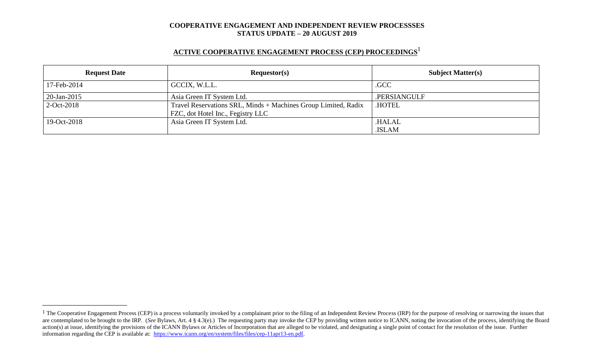# **ACTIVE COOPERATIVE ENGAGEMENT PROCESS (CEP) PROCEEDINGS** 1

| <b>Request Date</b> | Requestor(s)                                                                                        | <b>Subject Matter(s)</b> |  |
|---------------------|-----------------------------------------------------------------------------------------------------|--------------------------|--|
| 17-Feb-2014         | GCCIX, W.L.L.                                                                                       | .GCC                     |  |
| 20-Jan-2015         | Asia Green IT System Ltd.                                                                           | .PERSIANGULF             |  |
| $2$ -Oct-2018       | Travel Reservations SRL, Minds + Machines Group Limited, Radix<br>FZC, dot Hotel Inc., Fegistry LLC | <b>HOTEL</b>             |  |
| 19-Oct-2018         | Asia Green IT System Ltd.                                                                           | .HALAL                   |  |
|                     |                                                                                                     | .ISLAM                   |  |

<sup>&</sup>lt;sup>1</sup> The Cooperative Engagement Process (CEP) is a process voluntarily invoked by a complainant prior to the filing of an Independent Review Process (IRP) for the purpose of resolving or narrowing the issues that are contemplated to be brought to the IRP. (*See* Bylaws, Art. 4 § 4.3(e).) The requesting party may invoke the CEP by providing written notice to ICANN, noting the invocation of the process, identifying the Board action(s) at issue, identifying the provisions of the ICANN Bylaws or Articles of Incorporation that are alleged to be violated, and designating a single point of contact for the resolution of the issue. Further information regarding the CEP is available at: [https://www.icann.org/en/system/files/files/cep-11apr13-en.pdf.](https://www.icann.org/en/system/files/files/cep-11apr13-en.pdf)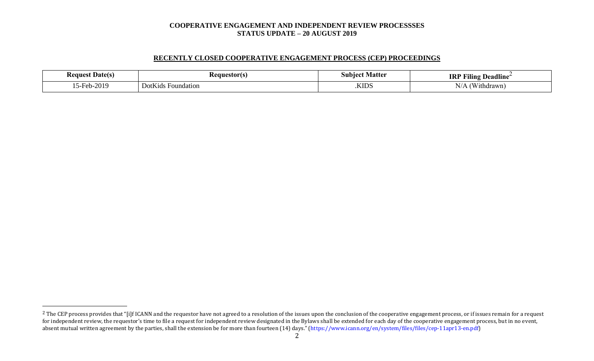# **RECENTLY CLOSED COOPERATIVE ENGAGEMENT PROCESS (CEP) PROCEEDINGS**

| . Date(s)<br><b>Request</b> | - Kequestorts                                           | Matte<br>NIID<br>.100 | <br><b>IRI</b><br>----<br>Deadlıne<br>THIN              |
|-----------------------------|---------------------------------------------------------|-----------------------|---------------------------------------------------------|
| $-2010$                     | $  -$<br>$\mathbf{D}$ otk<br>Foundation<br>"K1ds"<br>νv | <b>KIDS</b>           | $\sim$ $\sim$ $\sim$ $\sim$<br>גו `<br>N/<br>'ithdrawn' |

<sup>&</sup>lt;sup>2</sup> The CEP process provides that "[i]f ICANN and the requestor have not agreed to a resolution of the issues upon the conclusion of the cooperative engagement process, or if issues remain for a request for independent review, the requestor's time to file a request for independent review designated in the Bylaws shall be extended for each day of the cooperative engagement process, but in no event, absent mutual written agreement by the parties, shall the extension be for more than fourteen (14) days." (https://www.icann.org/en/system/files/files/cep-11apr13-en.pdf)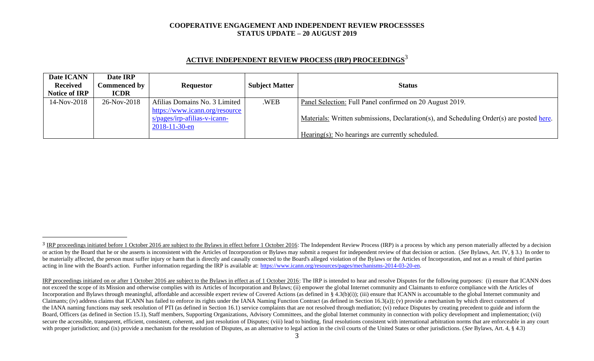| <b>ACTIVE INDEPENDENT REVIEW PROCESS (IRP) PROCEEDINGS<sup>3</sup></b> |  |  |
|------------------------------------------------------------------------|--|--|
|                                                                        |  |  |

| Date ICANN           | Date IRP            |                                |                       |                                                                                          |
|----------------------|---------------------|--------------------------------|-----------------------|------------------------------------------------------------------------------------------|
| <b>Received</b>      | <b>Commenced by</b> | <b>Requestor</b>               | <b>Subject Matter</b> | <b>Status</b>                                                                            |
| <b>Notice of IRP</b> | <b>ICDR</b>         |                                |                       |                                                                                          |
| 14-Nov-2018          | 26-Nov-2018         | Afilias Domains No. 3 Limited  | .WEB                  | Panel Selection: Full Panel confirmed on 20 August 2019.                                 |
|                      |                     | https://www.icann.org/resource |                       |                                                                                          |
|                      |                     | $s/pages/irp-afilias-v-icann-$ |                       | Materials: Written submissions, Declaration(s), and Scheduling Order(s) are posted here. |
|                      |                     | $2018 - 11 - 30 - en$          |                       |                                                                                          |
|                      |                     |                                |                       | Hearing(s): No hearings are currently scheduled.                                         |

<sup>&</sup>lt;sup>3</sup> IRP proceedings initiated before 1 October 2016 are subject to the Bylaws in effect before 1 October 2016: The Independent Review Process (IRP) is a process by which any person materially affected by a decision or action by the Board that he or she asserts is inconsistent with the Articles of Incorporation or Bylaws may submit a request for independent review of that decision or action. (See Bylaws, Art. IV, § 3.) In order to be materially affected, the person must suffer injury or harm that is directly and causally connected to the Board's alleged violation of the Bylaws or the Articles of Incorporation, and not as a result of third parties acting in line with the Board's action. Further information regarding the IRP is available at: [https://www.icann.org/resources/pages/mechanisms-2014-03-20-en.](https://www.icann.org/resources/pages/mechanisms-2014-03-20-en)

IRP proceedings initiated on or after 1 October 2016 are subject to the Bylaws in effect as of 1 October 2016: The IRP is intended to hear and resolve Disputes for the following purposes: (i) ensure that ICANN does not exceed the scope of its Mission and otherwise complies with its Articles of Incorporation and Bylaws; (ii) empower the global Internet community and Claimants to enforce compliance with the Articles of Incorporation and Bylaws through meaningful, affordable and accessible expert review of Covered Actions (as defined in § 4.3(b)(i)); (iii) ensure that ICANN is accountable to the global Internet community and Claimants; (iv) address claims that ICANN has failed to enforce its rights under the IANA Naming Function Contract (as defined in Section 16.3(a)); (v) provide a mechanism by which direct customers of the IANA naming functions may seek resolution of PTI (as defined in Section 16.1) service complaints that are not resolved through mediation; (vi) reduce Disputes by creating precedent to guide and inform the Board, Officers (as defined in Section 15.1), Staff members, Supporting Organizations, Advisory Committees, and the global Internet community in connection with policy development and implementation; (vii) secure the accessible, transparent, efficient, consistent, coherent, and just resolution of Disputes; (viii) lead to binding, final resolutions consistent with international arbitration norms that are enforceable in any co with proper jurisdiction; and (ix) provide a mechanism for the resolution of Disputes, as an alternative to legal action in the civil courts of the United States or other jurisdictions. (*See* Bylaws, Art. 4, § 4.3)